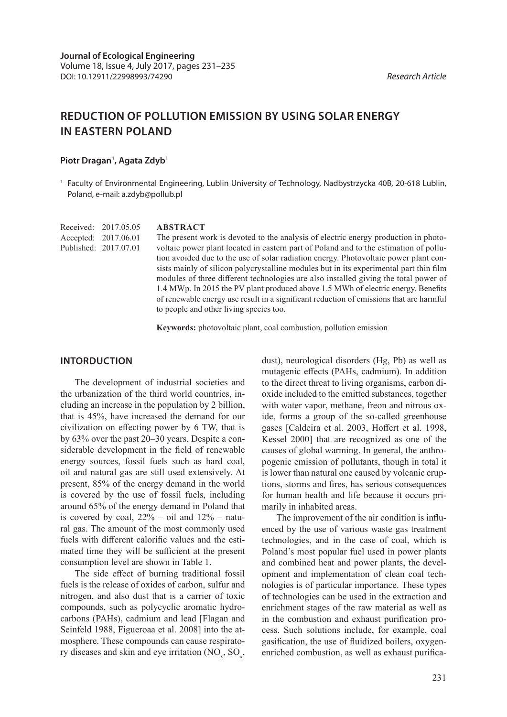# **REDUCTION OF POLLUTION EMISSION BY USING SOLAR ENERGY IN EASTERN POLAND**

# Piotr Dragan<sup>1</sup>, Agata Zdyb<sup>1</sup>

<sup>1</sup> Faculty of Environmental Engineering, Lublin University of Technology, Nadbystrzycka 40B, 20-618 Lublin, Poland, e-mail: a.zdyb@pollub.pl

Received: 2017.05.05 Accepted: 2017.06.01 Published: 2017.07.01

#### **ABSTRACT**

The present work is devoted to the analysis of electric energy production in photovoltaic power plant located in eastern part of Poland and to the estimation of pollution avoided due to the use of solar radiation energy. Photovoltaic power plant consists mainly of silicon polycrystalline modules but in its experimental part thin film modules of three different technologies are also installed giving the total power of 1.4 MWp. In 2015 the PV plant produced above 1.5 MWh of electric energy. Benefits of renewable energy use result in a significant reduction of emissions that are harmful to people and other living species too.

**Keywords:** photovoltaic plant, coal combustion, pollution emission

# **INTORDUCTION**

The development of industrial societies and the urbanization of the third world countries, including an increase in the population by 2 billion, that is 45%, have increased the demand for our civilization on effecting power by 6 TW, that is by 63% over the past 20–30 years. Despite a considerable development in the field of renewable energy sources, fossil fuels such as hard coal, oil and natural gas are still used extensively. At present, 85% of the energy demand in the world is covered by the use of fossil fuels, including around 65% of the energy demand in Poland that is covered by coal,  $22% - oil$  and  $12% - natu$ ral gas. The amount of the most commonly used fuels with different calorific values and the estimated time they will be sufficient at the present consumption level are shown in Table 1.

The side effect of burning traditional fossil fuels is the release of oxides of carbon, sulfur and nitrogen, and also dust that is a carrier of toxic compounds, such as polycyclic aromatic hydrocarbons (PAHs), cadmium and lead [Flagan and Seinfeld 1988, Figueroaa et al. 2008] into the atmosphere. These compounds can cause respiratory diseases and skin and eye irritation  $(NO_x, SO_x,$  dust), neurological disorders (Hg, Pb) as well as mutagenic effects (PAHs, cadmium). In addition to the direct threat to living organisms, carbon dioxide included to the emitted substances, together with water vapor, methane, freon and nitrous oxide, forms a group of the so-called greenhouse gases [Caldeira et al. 2003, Hoffert et al. 1998, Kessel 2000] that are recognized as one of the causes of global warming. In general, the anthropogenic emission of pollutants, though in total it is lower than natural one caused by volcanic eruptions, storms and fires, has serious consequences for human health and life because it occurs primarily in inhabited areas.

The improvement of the air condition is influenced by the use of various waste gas treatment technologies, and in the case of coal, which is Poland's most popular fuel used in power plants and combined heat and power plants, the development and implementation of clean coal technologies is of particular importance. These types of technologies can be used in the extraction and enrichment stages of the raw material as well as in the combustion and exhaust purification process. Such solutions include, for example, coal gasification, the use of fluidized boilers, oxygenenriched combustion, as well as exhaust purifica-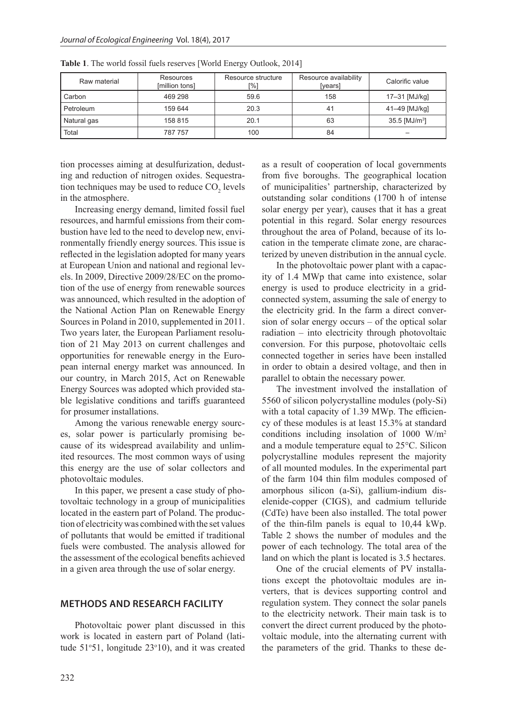| Raw material | Resources<br>[million tons] | Resource structure<br>r%] | Resource availability<br>[years] | Calorific value             |
|--------------|-----------------------------|---------------------------|----------------------------------|-----------------------------|
| Carbon       | 469 298                     | 59.6                      | 158                              | 17-31 [MJ/kg]               |
| Petroleum    | 159 644                     | 20.3                      | 41                               | 41-49 [MJ/kg]               |
| Natural gas  | 158 815                     | 20.1                      | 63                               | $35.5$ [MJ/m <sup>3</sup> ] |
| Total        | 787 757                     | 100                       | 84                               |                             |

**Table 1**. The world fossil fuels reserves [World Energy Outlook, 2014]

tion processes aiming at desulfurization, dedusting and reduction of nitrogen oxides. Sequestration techniques may be used to reduce  $CO_2$  levels in the atmosphere.

Increasing energy demand, limited fossil fuel resources, and harmful emissions from their combustion have led to the need to develop new, environmentally friendly energy sources. This issue is reflected in the legislation adopted for many years at European Union and national and regional levels. In 2009, Directive 2009/28/EC on the promotion of the use of energy from renewable sources was announced, which resulted in the adoption of the National Action Plan on Renewable Energy Sources in Poland in 2010, supplemented in 2011. Two years later, the European Parliament resolution of 21 May 2013 on current challenges and opportunities for renewable energy in the European internal energy market was announced. In our country, in March 2015, Act on Renewable Energy Sources was adopted which provided stable legislative conditions and tariffs guaranteed for prosumer installations.

Among the various renewable energy sources, solar power is particularly promising because of its widespread availability and unlimited resources. The most common ways of using this energy are the use of solar collectors and photovoltaic modules.

In this paper, we present a case study of photovoltaic technology in a group of municipalities located in the eastern part of Poland. The production of electricity was combined with the set values of pollutants that would be emitted if traditional fuels were combusted. The analysis allowed for the assessment of the ecological benefits achieved in a given area through the use of solar energy.

#### **METHODS AND RESEARCH FACILITY**

Photovoltaic power plant discussed in this work is located in eastern part of Poland (latitude 51°51, longitude 23°10), and it was created as a result of cooperation of local governments from five boroughs. The geographical location of municipalities' partnership, characterized by outstanding solar conditions (1700 h of intense solar energy per year), causes that it has a great potential in this regard. Solar energy resources throughout the area of Poland, because of its location in the temperate climate zone, are characterized by uneven distribution in the annual cycle.

In the photovoltaic power plant with a capacity of 1.4 MWp that came into existence, solar energy is used to produce electricity in a gridconnected system, assuming the sale of energy to the electricity grid. In the farm a direct conversion of solar energy occurs – of the optical solar radiation – into electricity through photovoltaic conversion. For this purpose, photovoltaic cells connected together in series have been installed in order to obtain a desired voltage, and then in parallel to obtain the necessary power.

The investment involved the installation of 5560 of silicon polycrystalline modules (poly-Si) with a total capacity of 1.39 MWp. The efficiency of these modules is at least 15.3% at standard conditions including insolation of 1000 W/m<sup>2</sup> and a module temperature equal to 25°C. Silicon polycrystalline modules represent the majority of all mounted modules. In the experimental part of the farm 104 thin film modules composed of amorphous silicon (a-Si), gallium-indium diselenide-copper (CIGS), and cadmium telluride (CdTe) have been also installed. The total power of the thin-film panels is equal to 10,44 kWp. Table 2 shows the number of modules and the power of each technology. The total area of the land on which the plant is located is 3.5 hectares.

One of the crucial elements of PV installations except the photovoltaic modules are inverters, that is devices supporting control and regulation system. They connect the solar panels to the electricity network. Their main task is to convert the direct current produced by the photovoltaic module, into the alternating current with the parameters of the grid. Thanks to these de-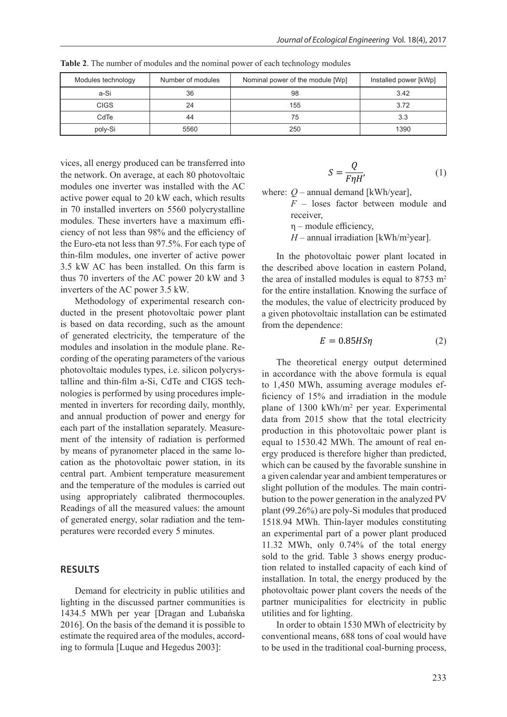| Modules technology | Number of modules | Nominal power of the module [Wp] | Installed power [kWp] |
|--------------------|-------------------|----------------------------------|-----------------------|
| a-Si               | 36                | 98                               | 3.42                  |
| <b>CIGS</b>        | 24                | 155                              | 3.72                  |
| CdTe               | 44                | 75                               | 3.3                   |
| poly-Si            | 5560              | 250                              | 1390                  |

**Table 2**. The number of modules and the nominal power of each technology modules

vices, all energy produced can be transferred into the network. On average, at each 80 photovoltaic modules one inverter was installed with the AC active power equal to 20 kW each, which results in 70 installed inverters on 5560 polycrystalline modules. These inverters have a maximum efficiency of not less than 98% and the efficiency of the Euro-eta not less than 97.5%. For each type of thin-film modules, one inverter of active power 3.5 kW AC has been installed. On this farm is thus 70 inverters of the AC power 20 kW and 3 inverters of the AC power 3.5 kW.

Methodology of experimental research conducted in the present photovoltaic power plant is based on data recording, such as the amount of generated electricity, the temperature of the modules and insolation in the module plane. Recording of the operating parameters of the various photovoltaic modules types, i.e. silicon polycrystalline and thin-film a-Si, CdTe and CIGS technologies is performed by using procedures implemented in inverters for recording daily, monthly, and annual production of power and energy for each part of the installation separately. Measurement of the intensity of radiation is performed by means of pyranometer placed in the same location as the photovoltaic power station, in its central part. Ambient temperature measurement and the temperature of the modules is carried out using appropriately calibrated thermocouples. Readings of all the measured values: the amount of generated energy, solar radiation and the temperatures were recorded every 5 minutes.

# **RESULTS**

Demand for electricity in public utilities and lighting in the discussed partner communities is 1434.5 MWh per year [Dragan and Lubańska 2016]. On the basis of the demand it is possible to estimate the required area of the modules, according to formula [Luque and Hegedus 2003]:

$$
S = \frac{Q}{F\eta H'}\tag{1}
$$

where:  $Q$  – annual demand [kWh/year],

*F* – loses factor between module and receiver,

η – module efficiency,

 $H$  – annual irradiation [kWh/m<sup>2</sup>year].

In the photovoltaic power plant located in the described above location in eastern Poland, the area of installed modules is equal to  $8753 \text{ m}^2$ for the entire installation. Knowing the surface of the modules, the value of electricity produced by a given photovoltaic installation can be estimated from the dependence:

$$
E = 0.85HS\eta
$$
 (2)

The theoretical energy output determined in accordance with the above formula is equal to 1,450 MWh, assuming average modules efficiency of 15% and irradiation in the module plane of 1300 kWh/m<sup>2</sup> per year. Experimental data from 2015 show that the total electricity production in this photovoltaic power plant is equal to 1530.42 MWh. The amount of real energy produced is therefore higher than predicted, which can be caused by the favorable sunshine in a given calendar year and ambient temperatures or slight pollution of the modules. The main contribution to the power generation in the analyzed PV plant (99.26%) are poly-Si modules that produced 1518.94 MWh. Thin-layer modules constituting an experimental part of a power plant produced 11.32 MWh, only 0.74% of the total energy sold to the grid. Table 3 shows energy production related to installed capacity of each kind of installation. In total, the energy produced by the photovoltaic power plant covers the needs of the partner municipalities for electricity in public utilities and for lighting.

In order to obtain 1530 MWh of electricity by conventional means, 688 tons of coal would have to be used in the traditional coal-burning process,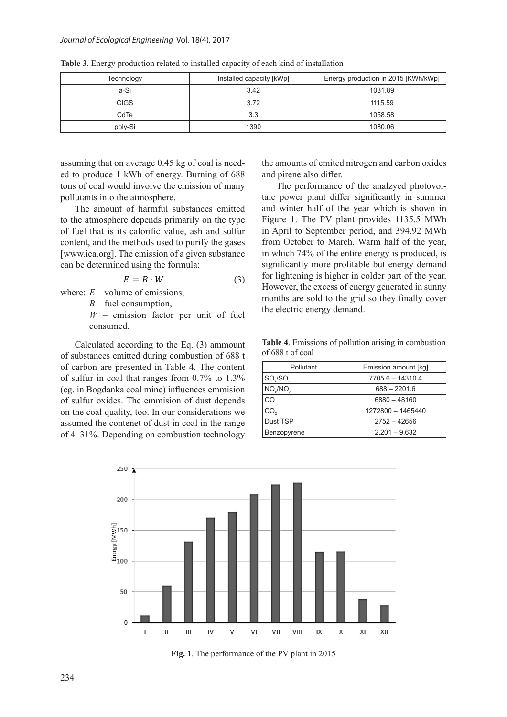| Technology  | Installed capacity [kWp] | Energy production in 2015 [KWh/kWp] |  |
|-------------|--------------------------|-------------------------------------|--|
| a-Si        | 3.42                     | 1031.89                             |  |
| <b>CIGS</b> | 3.72                     | 1115.59                             |  |
| CdTe        | 3.3                      | 1058.58                             |  |
| poly-Si     | 1390                     | 1080.06                             |  |

**Table 3**. Energy production related to installed capacity of each kind of installation

assuming that on average 0.45 kg of coal is needed to produce 1 kWh of energy. Burning of 688 tons of coal would involve the emission of many pollutants into the atmosphere.

The amount of harmful substances emitted to the atmosphere depends primarily on the type of fuel that is its calorific value, ash and sulfur content, and the methods used to purify the gases [www.iea.org]. The emission of a given substance can be determined using the formula:

$$
E = B \cdot W \tag{3}
$$

where:  $E$  – volume of emissions,

*B* – fuel consumption,

*W* – emission factor per unit of fuel consumed.

Calculated according to the Eq. (3) ammount of substances emitted during combustion of 688 t of carbon are presented in Table 4. The content of sulfur in coal that ranges from 0.7% to 1.3% (eg. in Bogdanka coal mine) influences emmision of sulfur oxides. The emmision of dust depends on the coal quality, too. In our considerations we assumed the contenet of dust in coal in the range of 4–31%. Depending on combustion technology

the amounts of emited nitrogen and carbon oxides and pirene also differ.

The performance of the analzyed photovoltaic power plant differ significantly in summer and winter half of the year which is shown in Figure 1. The PV plant provides 1135.5 MWh in April to September period, and 394.92 MWh from October to March. Warm half of the year, in which 74% of the entire energy is produced, is significantly more profitable but energy demand for lightening is higher in colder part of the year. However, the excess of energy generated in sunny months are sold to the grid so they finally cover the electric energy demand.

**Table 4**. Emissions of pollution arising in combustion of 688 t of coal

| Pollutant          | Emission amount [kg] |  |
|--------------------|----------------------|--|
| SO/SO <sub>2</sub> | $7705.6 - 14310.4$   |  |
| $NO_y/NO_2$        | $688 - 2201.6$       |  |
| CO                 | 6880 - 48160         |  |
| CO <sub>2</sub>    | 1272800 - 1465440    |  |
| Dust TSP           | $2752 - 42656$       |  |
| Benzopyrene        | $2.201 - 9.632$      |  |



**Fig. 1**. The performance of the PV plant in 2015